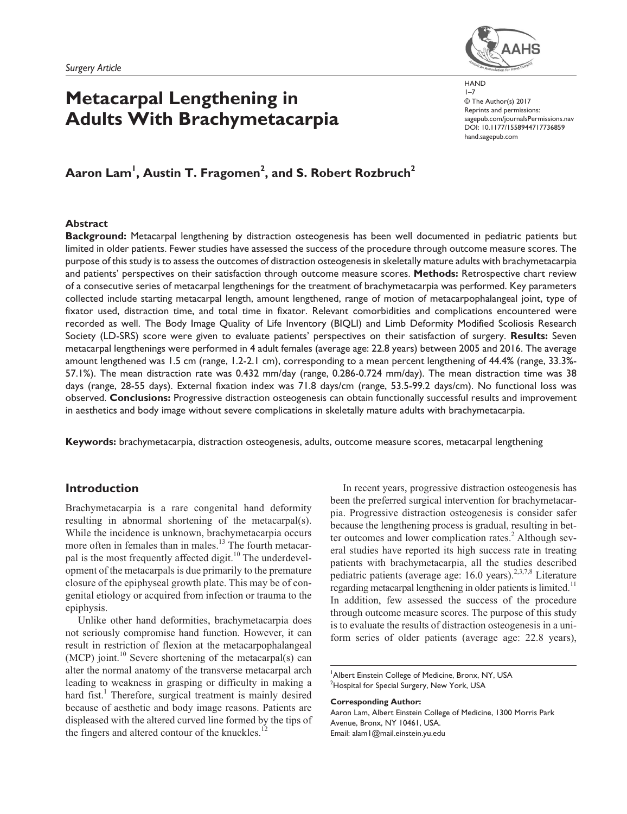# **Metacarpal Lengthening in Adults With Brachymetacarpia**

# $\bm{{\sf A} }$ aron  $\bm{{\sf L} }$ am<sup>1</sup>,  $\bm{{\sf A} }$ ustin T. Fragomen $^2$ , and S. Robert Rozbruch $^2$

## **Abstract**

**Background:** Metacarpal lengthening by distraction osteogenesis has been well documented in pediatric patients but limited in older patients. Fewer studies have assessed the success of the procedure through outcome measure scores. The purpose of this study is to assess the outcomes of distraction osteogenesis in skeletally mature adults with brachymetacarpia and patients' perspectives on their satisfaction through outcome measure scores. **Methods:** Retrospective chart review of a consecutive series of metacarpal lengthenings for the treatment of brachymetacarpia was performed. Key parameters collected include starting metacarpal length, amount lengthened, range of motion of metacarpophalangeal joint, type of fixator used, distraction time, and total time in fixator. Relevant comorbidities and complications encountered were recorded as well. The Body Image Quality of Life Inventory (BIQLI) and Limb Deformity Modified Scoliosis Research Society (LD-SRS) score were given to evaluate patients' perspectives on their satisfaction of surgery. **Results:** Seven metacarpal lengthenings were performed in 4 adult females (average age: 22.8 years) between 2005 and 2016. The average amount lengthened was 1.5 cm (range, 1.2-2.1 cm), corresponding to a mean percent lengthening of 44.4% (range, 33.3%- 57.1%). The mean distraction rate was 0.432 mm/day (range, 0.286-0.724 mm/day). The mean distraction time was 38 days (range, 28-55 days). External fixation index was 71.8 days/cm (range, 53.5-99.2 days/cm). No functional loss was observed. **Conclusions:** Progressive distraction osteogenesis can obtain functionally successful results and improvement in aesthetics and body image without severe complications in skeletally mature adults with brachymetacarpia.

**Keywords:** brachymetacarpia, distraction osteogenesis, adults, outcome measure scores, metacarpal lengthening

# **Introduction**

Brachymetacarpia is a rare congenital hand deformity resulting in abnormal shortening of the metacarpal(s). While the incidence is unknown, brachymetacarpia occurs more often in females than in males. $13$  The fourth metacarpal is the most frequently affected digit. $10^{\circ}$  The underdevelopment of the metacarpals is due primarily to the premature closure of the epiphyseal growth plate. This may be of congenital etiology or acquired from infection or trauma to the epiphysis.

Unlike other hand deformities, brachymetacarpia does not seriously compromise hand function. However, it can result in restriction of flexion at the metacarpophalangeal  $(MCP)$  joint.<sup>10</sup> Severe shortening of the metacarpal(s) can alter the normal anatomy of the transverse metacarpal arch leading to weakness in grasping or difficulty in making a hard fist.<sup>1</sup> Therefore, surgical treatment is mainly desired because of aesthetic and body image reasons. Patients are displeased with the altered curved line formed by the tips of the fingers and altered contour of the knuckles. $^{12}$ 

In recent years, progressive distraction osteogenesis has been the preferred surgical intervention for brachymetacarpia. Progressive distraction osteogenesis is consider safer because the lengthening process is gradual, resulting in better outcomes and lower complication rates.<sup>2</sup> Although several studies have reported its high success rate in treating patients with brachymetacarpia, all the studies described pediatric patients (average age: 16.0 years).<sup>2,3,7,8</sup> Literature regarding metacarpal lengthening in older patients is limited.<sup>11</sup> In addition, few assessed the success of the procedure through outcome measure scores. The purpose of this study is to evaluate the results of distraction osteogenesis in a uniform series of older patients (average age: 22.8 years),

<sup>1</sup> Albert Einstein College of Medicine, Bronx, NY, USA <sup>2</sup>Hospital for Special Surgery, New York, USA

**Corresponding Author:**

Aaron Lam, Albert Einstein College of Medicine, 1300 Morris Park Avenue, Bronx, NY 10461, USA. Email: [alam1@mail.einstein.yu.edu](mailto:alam1@mail.einstein.yu.edu)



https://doi.org/10.1177/1558944717736859 DOI: 10.1177/1558944717736859 **HAND**  $1 - 7$ © The Author(s) 2017 Reprints and permissions: [sagepub.com/journalsPermissions.nav](https://us.sagepub.com/en-us/journals-permissions) [hand.sagepub.com](http://hand.sagepub.com)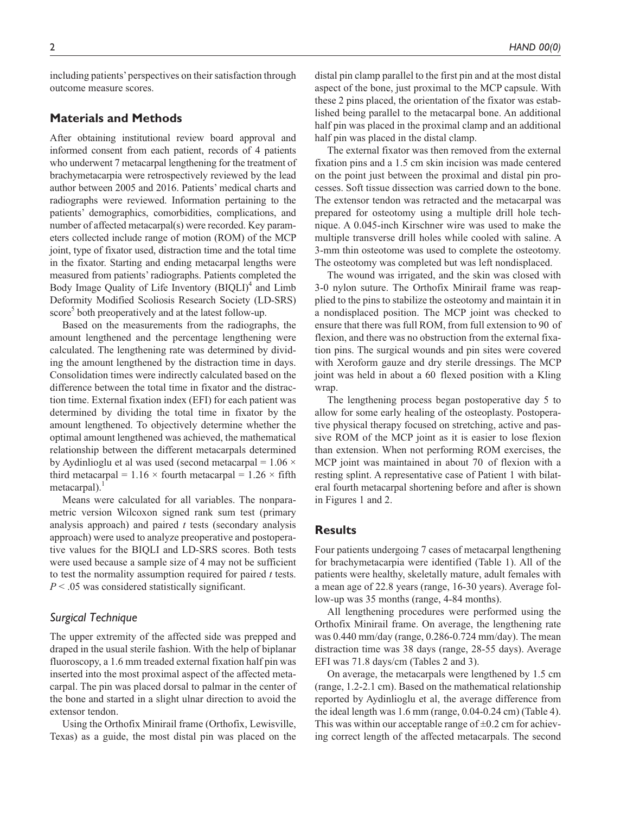including patients' perspectives on their satisfaction through outcome measure scores.

## **Materials and Methods**

After obtaining institutional review board approval and informed consent from each patient, records of 4 patients who underwent 7 metacarpal lengthening for the treatment of brachymetacarpia were retrospectively reviewed by the lead author between 2005 and 2016. Patients' medical charts and radiographs were reviewed. Information pertaining to the patients' demographics, comorbidities, complications, and number of affected metacarpal(s) were recorded. Key parameters collected include range of motion (ROM) of the MCP joint, type of fixator used, distraction time and the total time in the fixator. Starting and ending metacarpal lengths were measured from patients' radiographs. Patients completed the Body Image Quality of Life Inventory (BIQLI)<sup>4</sup> and Limb Deformity Modified Scoliosis Research Society (LD-SRS) score<sup>5</sup> both preoperatively and at the latest follow-up.

Based on the measurements from the radiographs, the amount lengthened and the percentage lengthening were calculated. The lengthening rate was determined by dividing the amount lengthened by the distraction time in days. Consolidation times were indirectly calculated based on the difference between the total time in fixator and the distraction time. External fixation index (EFI) for each patient was determined by dividing the total time in fixator by the amount lengthened. To objectively determine whether the optimal amount lengthened was achieved, the mathematical relationship between the different metacarpals determined by Aydinlioglu et al was used (second metacarpal =  $1.06 \times$ third metacarpal =  $1.16 \times$  fourth metacarpal =  $1.26 \times$  fifth metacarpal). $\frac{1}{1}$ 

Means were calculated for all variables. The nonparametric version Wilcoxon signed rank sum test (primary analysis approach) and paired *t* tests (secondary analysis approach) were used to analyze preoperative and postoperative values for the BIQLI and LD-SRS scores. Both tests were used because a sample size of 4 may not be sufficient to test the normality assumption required for paired *t* tests. *P* < .05 was considered statistically significant.

# *Surgical Technique*

The upper extremity of the affected side was prepped and draped in the usual sterile fashion. With the help of biplanar fluoroscopy, a 1.6 mm treaded external fixation half pin was inserted into the most proximal aspect of the affected metacarpal. The pin was placed dorsal to palmar in the center of the bone and started in a slight ulnar direction to avoid the extensor tendon.

Using the Orthofix Minirail frame (Orthofix, Lewisville, Texas) as a guide, the most distal pin was placed on the

distal pin clamp parallel to the first pin and at the most distal aspect of the bone, just proximal to the MCP capsule. With these 2 pins placed, the orientation of the fixator was established being parallel to the metacarpal bone. An additional half pin was placed in the proximal clamp and an additional half pin was placed in the distal clamp.

The external fixator was then removed from the external fixation pins and a 1.5 cm skin incision was made centered on the point just between the proximal and distal pin processes. Soft tissue dissection was carried down to the bone. The extensor tendon was retracted and the metacarpal was prepared for osteotomy using a multiple drill hole technique. A 0.045-inch Kirschner wire was used to make the multiple transverse drill holes while cooled with saline. A 3-mm thin osteotome was used to complete the osteotomy. The osteotomy was completed but was left nondisplaced.

The wound was irrigated, and the skin was closed with 3-0 nylon suture. The Orthofix Minirail frame was reapplied to the pins to stabilize the osteotomy and maintain it in a nondisplaced position. The MCP joint was checked to ensure that there was full ROM, from full extension to 90 of flexion, and there was no obstruction from the external fixation pins. The surgical wounds and pin sites were covered with Xeroform gauze and dry sterile dressings. The MCP joint was held in about a 60 flexed position with a Kling wrap.

The lengthening process began postoperative day 5 to allow for some early healing of the osteoplasty. Postoperative physical therapy focused on stretching, active and passive ROM of the MCP joint as it is easier to lose flexion than extension. When not performing ROM exercises, the MCP joint was maintained in about 70 of flexion with a resting splint. A representative case of Patient 1 with bilateral fourth metacarpal shortening before and after is shown in Figures 1 and 2.

# **Results**

Four patients undergoing 7 cases of metacarpal lengthening for brachymetacarpia were identified (Table 1). All of the patients were healthy, skeletally mature, adult females with a mean age of 22.8 years (range, 16-30 years). Average follow-up was 35 months (range, 4-84 months).

All lengthening procedures were performed using the Orthofix Minirail frame. On average, the lengthening rate was 0.440 mm/day (range, 0.286-0.724 mm/day). The mean distraction time was 38 days (range, 28-55 days). Average EFI was 71.8 days/cm (Tables 2 and 3).

On average, the metacarpals were lengthened by 1.5 cm (range, 1.2-2.1 cm). Based on the mathematical relationship reported by Aydinlioglu et al, the average difference from the ideal length was 1.6 mm (range, 0.04-0.24 cm) (Table 4). This was within our acceptable range of  $\pm 0.2$  cm for achieving correct length of the affected metacarpals. The second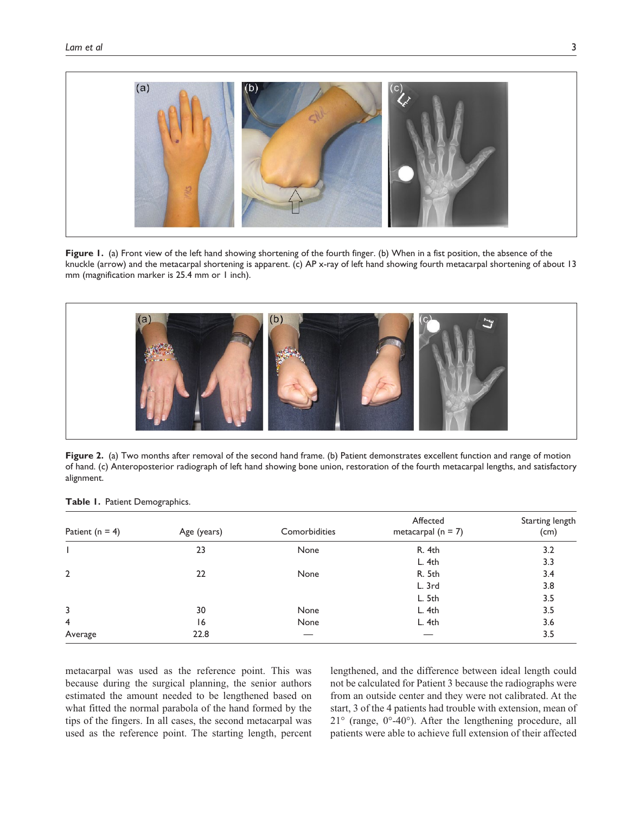

Figure 1. (a) Front view of the left hand showing shortening of the fourth finger. (b) When in a fist position, the absence of the knuckle (arrow) and the metacarpal shortening is apparent. (c) AP x-ray of left hand showing fourth metacarpal shortening of about 13 mm (magnification marker is 25.4 mm or 1 inch).



**Figure 2.** (a) Two months after removal of the second hand frame. (b) Patient demonstrates excellent function and range of motion of hand. (c) Anteroposterior radiograph of left hand showing bone union, restoration of the fourth metacarpal lengths, and satisfactory alignment.

| Patient ( $n = 4$ ) | Age (years) | Comorbidities | Affected<br>metacarpal ( $n = 7$ ) | Starting length<br>(cm) |
|---------------------|-------------|---------------|------------------------------------|-------------------------|
|                     | 23          | None          | R. 4th                             | 3.2                     |
|                     |             |               | L. 4th                             | 3.3                     |
| $\overline{2}$      | 22          | None          | R. 5th                             | 3.4                     |
|                     |             |               | L. 3rd                             | 3.8                     |
|                     |             |               | L. 5th                             | 3.5                     |
| 3                   | 30          | None          | L. 4th                             | 3.5                     |
| 4                   | 16          | None          | L. 4th                             | 3.6                     |
| Average             | 22.8        |               |                                    | 3.5                     |

|  |  |  | Table 1. Patient Demographics. |
|--|--|--|--------------------------------|
|--|--|--|--------------------------------|

metacarpal was used as the reference point. This was because during the surgical planning, the senior authors estimated the amount needed to be lengthened based on what fitted the normal parabola of the hand formed by the tips of the fingers. In all cases, the second metacarpal was used as the reference point. The starting length, percent lengthened, and the difference between ideal length could not be calculated for Patient 3 because the radiographs were from an outside center and they were not calibrated. At the start, 3 of the 4 patients had trouble with extension, mean of 21° (range, 0°-40°). After the lengthening procedure, all patients were able to achieve full extension of their affected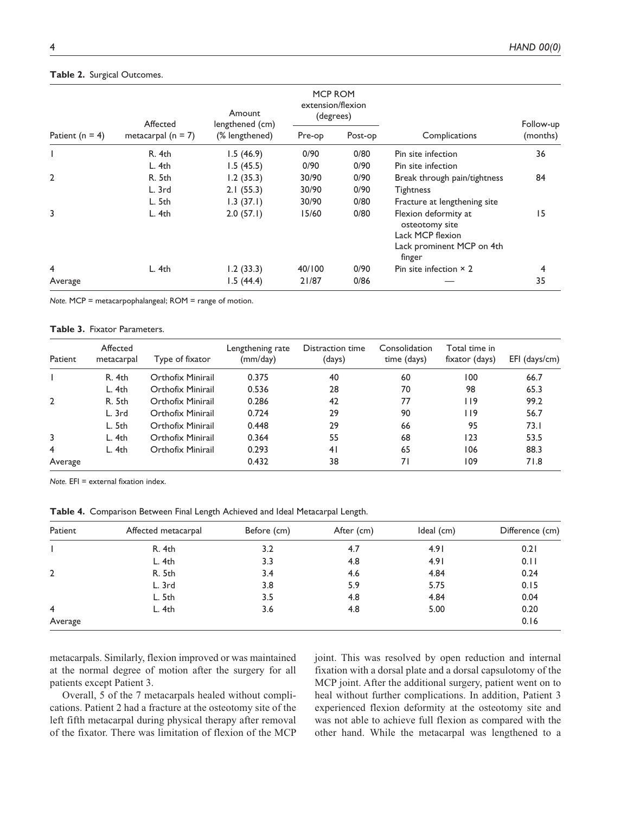|                     | Affected               | Amount                            | MCP ROM<br>extension/flexion<br>(degrees) |         |                                                                                                   |                       |
|---------------------|------------------------|-----------------------------------|-------------------------------------------|---------|---------------------------------------------------------------------------------------------------|-----------------------|
| Patient ( $n = 4$ ) | metacarpal ( $n = 7$ ) | lengthened (cm)<br>(% lengthened) | Pre-op                                    | Post-op | Complications                                                                                     | Follow-up<br>(months) |
|                     | <b>R.</b> 4th          | 1.5(46.9)                         | 0/90                                      | 0/80    | Pin site infection                                                                                | 36                    |
|                     | L.4th                  | 1.5(45.5)                         | 0/90                                      | 0/90    | Pin site infection                                                                                |                       |
| $\overline{2}$      | <b>R.</b> 5th          | 1.2(35.3)                         | 30/90                                     | 0/90    | Break through pain/tightness                                                                      | 84                    |
|                     | L. 3rd                 | 2.1(55.3)                         | 30/90                                     | 0/90    | <b>Tightness</b>                                                                                  |                       |
|                     | $L.$ 5th               | 1.3(37.1)                         | 30/90                                     | 0/80    | Fracture at lengthening site                                                                      |                       |
| 3                   | L.4 <sub>th</sub>      | 2.0(57.1)                         | 15/60                                     | 0/80    | Flexion deformity at<br>osteotomy site<br>Lack MCP flexion<br>Lack prominent MCP on 4th<br>finger | 15                    |
| 4                   | L.4th                  | 1.2(33.3)                         | 40/100                                    | 0/90    | Pin site infection $\times$ 2                                                                     | 4                     |
| Average             |                        | 1.5(44.4)                         | 21/87                                     | 0/86    |                                                                                                   | 35                    |

#### **Table 2.** Surgical Outcomes.

*Note.* MCP = metacarpophalangeal; ROM = range of motion.

## **Table 3.** Fixator Parameters.

| Patient        | Affected<br>metacarpal | Type of fixator          | Lengthening rate<br>(mm/day) | Distraction time<br>(days) | Consolidation<br>time (days) | Total time in<br>fixator (days) | EFI (days/cm) |
|----------------|------------------------|--------------------------|------------------------------|----------------------------|------------------------------|---------------------------------|---------------|
|                | <b>R.</b> 4th          | <b>Orthofix Minirail</b> | 0.375                        | 40                         | 60                           | 100                             | 66.7          |
|                | L.4 <sub>th</sub>      | <b>Orthofix Minirail</b> | 0.536                        | 28                         | 70                           | 98                              | 65.3          |
| $\overline{2}$ | <b>R.</b> 5th          | <b>Orthofix Minirail</b> | 0.286                        | 42                         | 77                           | I 19                            | 99.2          |
|                | L. 3rd                 | <b>Orthofix Minirail</b> | 0.724                        | 29                         | 90                           | I 19                            | 56.7          |
|                | L. 5th                 | <b>Orthofix Minirail</b> | 0.448                        | 29                         | 66                           | 95                              | 73.1          |
| 3              | L.4 <sub>th</sub>      | <b>Orthofix Minirail</b> | 0.364                        | 55                         | 68                           | 123                             | 53.5          |
| 4              | L.4th                  | <b>Orthofix Minirail</b> | 0.293                        | 41                         | 65                           | 106                             | 88.3          |
| Average        |                        |                          | 0.432                        | 38                         | 71                           | 109                             | 71.8          |

*Note.* EFI = external fixation index.

**Table 4.** Comparison Between Final Length Achieved and Ideal Metacarpal Length.

| Patient        | Affected metacarpal | Before (cm) | After (cm) | Ideal (cm) | Difference (cm) |
|----------------|---------------------|-------------|------------|------------|-----------------|
|                | <b>R.</b> 4th       | 3.2         | 4.7        | 4.91       | 0.21            |
|                | L. 4th              | 3.3         | 4.8        | 4.91       | 0.11            |
| $\overline{2}$ | <b>R.</b> 5th       | 3.4         | 4.6        | 4.84       | 0.24            |
|                | L. 3rd              | 3.8         | 5.9        | 5.75       | 0.15            |
|                | L. 5th              | 3.5         | 4.8        | 4.84       | 0.04            |
| 4              | L.4th               | 3.6         | 4.8        | 5.00       | 0.20            |
| Average        |                     |             |            |            | 0.16            |

metacarpals. Similarly, flexion improved or was maintained at the normal degree of motion after the surgery for all patients except Patient 3.

Overall, 5 of the 7 metacarpals healed without complications. Patient 2 had a fracture at the osteotomy site of the left fifth metacarpal during physical therapy after removal of the fixator. There was limitation of flexion of the MCP joint. This was resolved by open reduction and internal fixation with a dorsal plate and a dorsal capsulotomy of the MCP joint. After the additional surgery, patient went on to heal without further complications. In addition, Patient 3 experienced flexion deformity at the osteotomy site and was not able to achieve full flexion as compared with the other hand. While the metacarpal was lengthened to a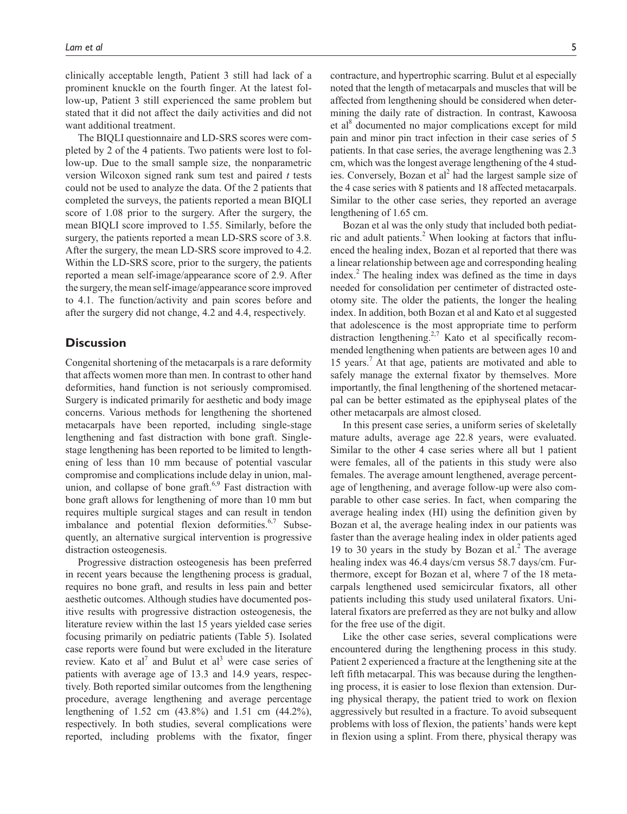clinically acceptable length, Patient 3 still had lack of a prominent knuckle on the fourth finger. At the latest follow-up, Patient 3 still experienced the same problem but stated that it did not affect the daily activities and did not want additional treatment.

The BIQLI questionnaire and LD-SRS scores were completed by 2 of the 4 patients. Two patients were lost to follow-up. Due to the small sample size, the nonparametric version Wilcoxon signed rank sum test and paired *t* tests could not be used to analyze the data. Of the 2 patients that completed the surveys, the patients reported a mean BIQLI score of 1.08 prior to the surgery. After the surgery, the mean BIQLI score improved to 1.55. Similarly, before the surgery, the patients reported a mean LD-SRS score of 3.8. After the surgery, the mean LD-SRS score improved to 4.2. Within the LD-SRS score, prior to the surgery, the patients reported a mean self-image/appearance score of 2.9. After the surgery, the mean self-image/appearance score improved to 4.1. The function/activity and pain scores before and after the surgery did not change, 4.2 and 4.4, respectively.

#### **Discussion**

Congenital shortening of the metacarpals is a rare deformity that affects women more than men. In contrast to other hand deformities, hand function is not seriously compromised. Surgery is indicated primarily for aesthetic and body image concerns. Various methods for lengthening the shortened metacarpals have been reported, including single-stage lengthening and fast distraction with bone graft. Singlestage lengthening has been reported to be limited to lengthening of less than 10 mm because of potential vascular compromise and complications include delay in union, malunion, and collapse of bone graft. $6.9$  Fast distraction with bone graft allows for lengthening of more than 10 mm but requires multiple surgical stages and can result in tendon imbalance and potential flexion deformities. $6,7$  Subsequently, an alternative surgical intervention is progressive distraction osteogenesis.

Progressive distraction osteogenesis has been preferred in recent years because the lengthening process is gradual, requires no bone graft, and results in less pain and better aesthetic outcomes. Although studies have documented positive results with progressive distraction osteogenesis, the literature review within the last 15 years yielded case series focusing primarily on pediatric patients (Table 5). Isolated case reports were found but were excluded in the literature review. Kato et al<sup>7</sup> and Bulut et al<sup>3</sup> were case series of patients with average age of 13.3 and 14.9 years, respectively. Both reported similar outcomes from the lengthening procedure, average lengthening and average percentage lengthening of 1.52 cm (43.8%) and 1.51 cm (44.2%), respectively. In both studies, several complications were reported, including problems with the fixator, finger

contracture, and hypertrophic scarring. Bulut et al especially noted that the length of metacarpals and muscles that will be affected from lengthening should be considered when determining the daily rate of distraction. In contrast, Kawoosa et al<sup>8</sup> documented no major complications except for mild pain and minor pin tract infection in their case series of 5 patients. In that case series, the average lengthening was 2.3 cm, which was the longest average lengthening of the 4 studies. Conversely, Bozan et al<sup>2</sup> had the largest sample size of the 4 case series with 8 patients and 18 affected metacarpals. Similar to the other case series, they reported an average lengthening of 1.65 cm.

Bozan et al was the only study that included both pediatric and adult patients.<sup>2</sup> When looking at factors that influenced the healing index, Bozan et al reported that there was a linear relationship between age and corresponding healing index.<sup>2</sup> The healing index was defined as the time in days needed for consolidation per centimeter of distracted osteotomy site. The older the patients, the longer the healing index. In addition, both Bozan et al and Kato et al suggested that adolescence is the most appropriate time to perform distraction lengthening.<sup>2,7</sup> Kato et al specifically recommended lengthening when patients are between ages 10 and 15 years.<sup>7</sup> At that age, patients are motivated and able to safely manage the external fixator by themselves. More importantly, the final lengthening of the shortened metacarpal can be better estimated as the epiphyseal plates of the other metacarpals are almost closed.

In this present case series, a uniform series of skeletally mature adults, average age 22.8 years, were evaluated. Similar to the other 4 case series where all but 1 patient were females, all of the patients in this study were also females. The average amount lengthened, average percentage of lengthening, and average follow-up were also comparable to other case series. In fact, when comparing the average healing index (HI) using the definition given by Bozan et al, the average healing index in our patients was faster than the average healing index in older patients aged 19 to 30 years in the study by Bozan et al. $<sup>2</sup>$  The average</sup> healing index was 46.4 days/cm versus 58.7 days/cm. Furthermore, except for Bozan et al, where 7 of the 18 metacarpals lengthened used semicircular fixators, all other patients including this study used unilateral fixators. Unilateral fixators are preferred as they are not bulky and allow for the free use of the digit.

Like the other case series, several complications were encountered during the lengthening process in this study. Patient 2 experienced a fracture at the lengthening site at the left fifth metacarpal. This was because during the lengthening process, it is easier to lose flexion than extension. During physical therapy, the patient tried to work on flexion aggressively but resulted in a fracture. To avoid subsequent problems with loss of flexion, the patients' hands were kept in flexion using a splint. From there, physical therapy was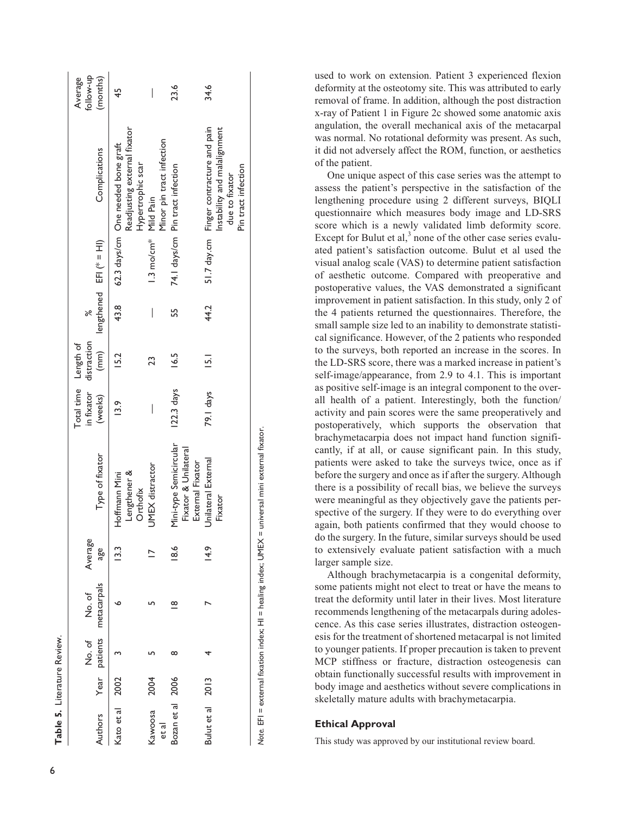| Table 5. Literature Review. |      |        |                                    |                |                                                                    |                                               |                     |          |                                  |                                                                                                                  |                                  |
|-----------------------------|------|--------|------------------------------------|----------------|--------------------------------------------------------------------|-----------------------------------------------|---------------------|----------|----------------------------------|------------------------------------------------------------------------------------------------------------------|----------------------------------|
| Authors                     |      | No. of | Year patients metacarpals<br>No.of | Average<br>age | Type of fixator                                                    | Total time Length of<br>in fixator<br>(weeks) | (mm)<br>distraction | $\aleph$ | lengthened EFI (* = HI)          | Complications                                                                                                    | follow-up<br>(months)<br>Average |
| Kato et al 2002             |      |        |                                    | 33             | Lengthener &<br>Hoffmann Mini<br>Orthofix                          | 13.9                                          | <b>15.2</b>         | 43.8     |                                  | Readjusting external fixator<br>62.3 days/cm One needed bone graft<br>Hypertrophic scar                          |                                  |
| Kawoosa<br>et al            | 2004 |        |                                    |                | UMEX distractor                                                    |                                               | 23                  |          | 1.3 mo/cm <sup>*</sup> Mild Pain | Minor pin tract infection                                                                                        |                                  |
| Bozan et al 2006            |      | ∞      | $\infty$                           | $\frac{8}{6}$  | Mini-type Semicircular<br>Fixator & Unilateral<br>External Fixator | 122.3 days                                    | 16.5                | 55       |                                  | 74.1 days/cm Pin tract infection                                                                                 | 23.6                             |
| Bulut et al 2013            |      |        |                                    | $\frac{9}{4}$  | Unilateral External<br>Fixator                                     | 79.1 days                                     | $\overline{5}$      | 44.2     |                                  | 51.7 day.cm Finger contracture and pain<br>Instability and malalignment<br>Pin tract infection<br>due to fixator | 34.6                             |

Note. EFI = external fixation index; HI = healing index; UMEX = universal mini external fixator *Note.* EFI = external fixation index; HI = healing index; UMEX = universal mini external fixator.

used to work on extension. Patient 3 experienced flexion deformity at the osteotomy site. This was attributed to early removal of frame. In addition, although the post distraction x-ray of Patient 1 in Figure 2c showed some anatomic axis angulation, the overall mechanical axis of the metacarpal was normal. No rotational deformity was present. As such, it did not adversely affect the ROM, function, or aesthetics of the patient.

One unique aspect of this case series was the attempt to assess the patient's perspective in the satisfaction of the lengthening procedure using 2 different surveys, BIQLI questionnaire which measures body image and LD-SRS score which is a newly validated limb deformity score. Except for Bulut et  $al$ ,  $\delta$  none of the other case series evaluated patient's satisfaction outcome. Bulut et al used the visual analog scale (VAS) to determine patient satisfaction of aesthetic outcome. Compared with preoperative and postoperative values, the VAS demonstrated a significant improvement in patient satisfaction. In this study, only 2 of the 4 patients returned the questionnaires. Therefore, the small sample size led to an inability to demonstrate statisti cal significance. However, of the 2 patients who responded to the surveys, both reported an increase in the scores. In the LD-SRS score, there was a marked increase in patient's self-image/appearance, from 2.9 to 4.1. This is important as positive self-image is an integral component to the over all health of a patient. Interestingly, both the function/ activity and pain scores were the same preoperatively and postoperatively, which supports the observation that brachymetacarpia does not impact hand function signifi cantly, if at all, or cause significant pain. In this study, patients were asked to take the surveys twice, once as if before the surgery and once as if after the surgery. Although there is a possibility of recall bias, we believe the surveys were meaningful as they objectively gave the patients per spective of the surgery. If they were to do everything over again, both patients confirmed that they would choose to do the surgery. In the future, similar surveys should be used to extensively evaluate patient satisfaction with a much larger sample size.

Although brachymetacarpia is a congenital deformity, some patients might not elect to treat or have the means to treat the deformity until later in their lives. Most literature recommends lengthening of the metacarpals during adoles cence. As this case series illustrates, distraction osteogen esis for the treatment of shortened metacarpal is not limited to younger patients. If proper precaution is taken to prevent MCP stiffness or fracture, distraction osteogenesis can obtain functionally successful results with improvement in body image and aesthetics without severe complications in skeletally mature adults with brachymetacarpia.

## **Ethical Approval**

This study was approved by our institutional review board.